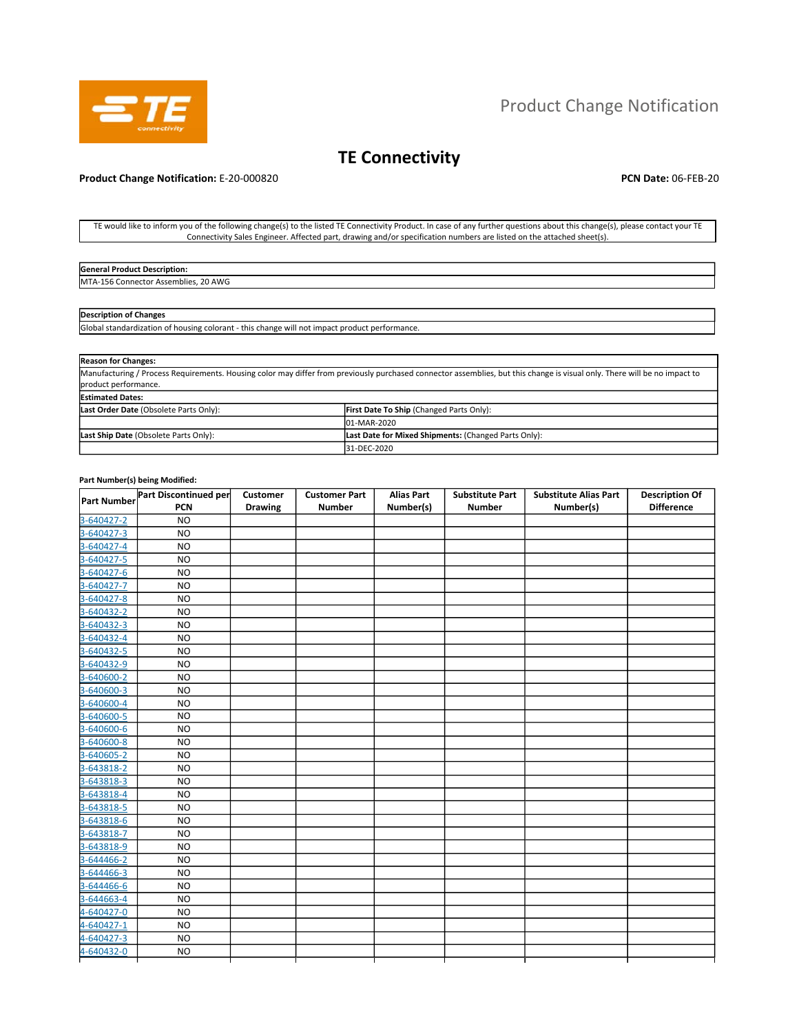

# Product Change Notification

# **TE Connectivity**

# **Product Change Notification:** E-20-000820 **PCN Date:** 06-FEB-20

TE would like to inform you of the following change(s) to the listed TE Connectivity Product. In case of any further questions about this change(s), please contact your TE Connectivity Sales Engineer. Affected part, drawing and/or specification numbers are listed on the attached sheet(s).

| <b>General Product Description:</b>     |  |
|-----------------------------------------|--|
| Connector Assemblies, 20 AWG<br>MTA-156 |  |

# **Description of Changes**

Global standardization of housing colorant - this change will not impact product performance.

| <b>Reason for Changes:</b>             |                                                                                                                                                                           |
|----------------------------------------|---------------------------------------------------------------------------------------------------------------------------------------------------------------------------|
| product performance.                   | Manufacturing / Process Requirements. Housing color may differ from previously purchased connector assemblies, but this change is visual only. There will be no impact to |
| <b>Estimated Dates:</b>                |                                                                                                                                                                           |
|                                        |                                                                                                                                                                           |
| Last Order Date (Obsolete Parts Only): | First Date To Ship (Changed Parts Only):                                                                                                                                  |
|                                        | 01-MAR-2020                                                                                                                                                               |
| Last Ship Date (Obsolete Parts Only):  | Last Date for Mixed Shipments: (Changed Parts Only):                                                                                                                      |
|                                        | 31-DEC-2020                                                                                                                                                               |

# **Part Number(s) being Modified:**

|             | Part Discontinued per | Customer       | <b>Customer Part</b> | <b>Alias Part</b> | <b>Substitute Part</b> | <b>Substitute Alias Part</b> | <b>Description Of</b> |
|-------------|-----------------------|----------------|----------------------|-------------------|------------------------|------------------------------|-----------------------|
| Part Number | <b>PCN</b>            | <b>Drawing</b> | <b>Number</b>        | Number(s)         | <b>Number</b>          | Number(s)                    | <b>Difference</b>     |
| 3-640427-2  | <b>NO</b>             |                |                      |                   |                        |                              |                       |
| 3-640427-3  | <b>NO</b>             |                |                      |                   |                        |                              |                       |
| 3-640427-4  | <b>NO</b>             |                |                      |                   |                        |                              |                       |
| 3-640427-5  | <b>NO</b>             |                |                      |                   |                        |                              |                       |
| 3-640427-6  | <b>NO</b>             |                |                      |                   |                        |                              |                       |
| 3-640427-7  | <b>NO</b>             |                |                      |                   |                        |                              |                       |
| 3-640427-8  | NO                    |                |                      |                   |                        |                              |                       |
| 3-640432-2  | <b>NO</b>             |                |                      |                   |                        |                              |                       |
| 3-640432-3  | <b>NO</b>             |                |                      |                   |                        |                              |                       |
| 3-640432-4  | <b>NO</b>             |                |                      |                   |                        |                              |                       |
| 3-640432-5  | <b>NO</b>             |                |                      |                   |                        |                              |                       |
| 3-640432-9  | <b>NO</b>             |                |                      |                   |                        |                              |                       |
| 3-640600-2  | <b>NO</b>             |                |                      |                   |                        |                              |                       |
| 3-640600-3  | <b>NO</b>             |                |                      |                   |                        |                              |                       |
| 3-640600-4  | <b>NO</b>             |                |                      |                   |                        |                              |                       |
| 3-640600-5  | <b>NO</b>             |                |                      |                   |                        |                              |                       |
| 3-640600-6  | <b>NO</b>             |                |                      |                   |                        |                              |                       |
| 3-640600-8  | <b>NO</b>             |                |                      |                   |                        |                              |                       |
| 3-640605-2  | <b>NO</b>             |                |                      |                   |                        |                              |                       |
| 3-643818-2  | <b>NO</b>             |                |                      |                   |                        |                              |                       |
| 3-643818-3  | <b>NO</b>             |                |                      |                   |                        |                              |                       |
| 3-643818-4  | <b>NO</b>             |                |                      |                   |                        |                              |                       |
| 3-643818-5  | <b>NO</b>             |                |                      |                   |                        |                              |                       |
| 3-643818-6  | <b>NO</b>             |                |                      |                   |                        |                              |                       |
| 3-643818-7  | <b>NO</b>             |                |                      |                   |                        |                              |                       |
| 3-643818-9  | <b>NO</b>             |                |                      |                   |                        |                              |                       |
| 3-644466-2  | <b>NO</b>             |                |                      |                   |                        |                              |                       |
| 3-644466-3  | <b>NO</b>             |                |                      |                   |                        |                              |                       |
| 3-644466-6  | <b>NO</b>             |                |                      |                   |                        |                              |                       |
| 3-644663-4  | <b>NO</b>             |                |                      |                   |                        |                              |                       |
| 4-640427-0  | <b>NO</b>             |                |                      |                   |                        |                              |                       |
| 4-640427-1  | <b>NO</b>             |                |                      |                   |                        |                              |                       |
| 4-640427-3  | <b>NO</b>             |                |                      |                   |                        |                              |                       |
| 4-640432-0  | <b>NO</b>             |                |                      |                   |                        |                              |                       |
|             |                       |                |                      |                   |                        |                              |                       |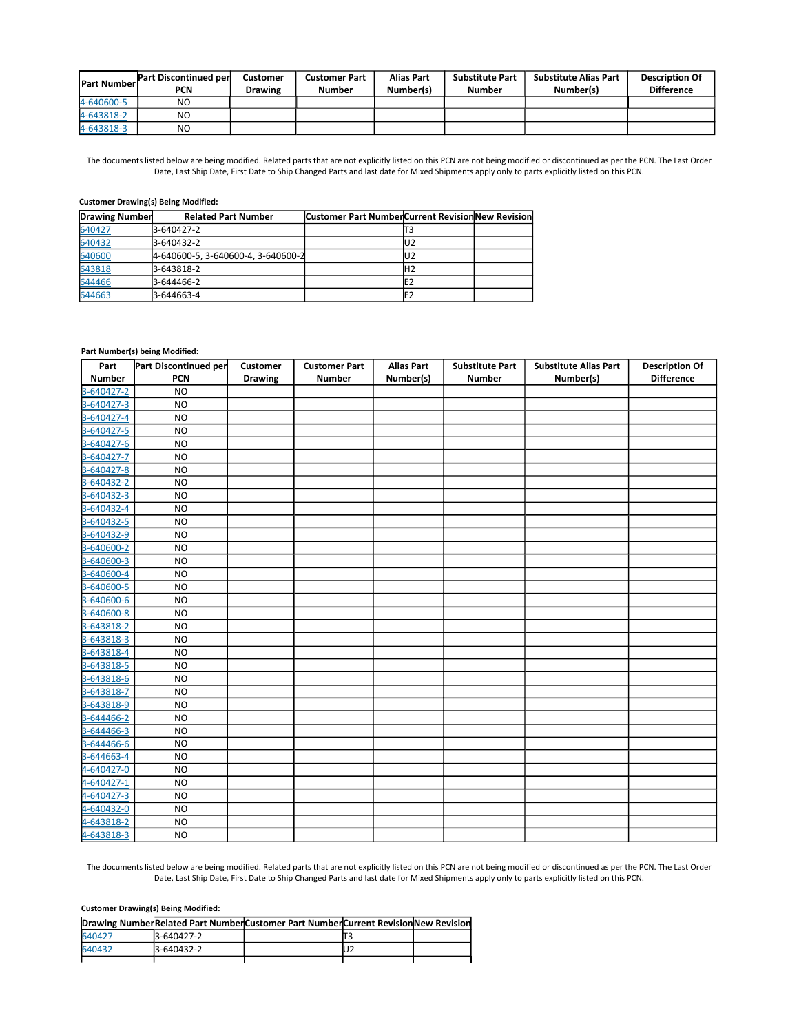| <b>Part Numberl</b> | Part Discontinued per<br>PCN | Customer<br><b>Drawing</b> | <b>Customer Part</b><br>Number | <b>Alias Part</b><br>Number(s) | <b>Substitute Part</b><br>Number | Substitute Alias Part<br>Number(s) | <b>Description Of</b><br><b>Difference</b> |
|---------------------|------------------------------|----------------------------|--------------------------------|--------------------------------|----------------------------------|------------------------------------|--------------------------------------------|
| 4-640600-5          | N <sub>O</sub>               |                            |                                |                                |                                  |                                    |                                            |
| 4-643818-2          | N <sub>O</sub>               |                            |                                |                                |                                  |                                    |                                            |
| 4-643818-3          | N <sub>O</sub>               |                            |                                |                                |                                  |                                    |                                            |

The documents listed below are being modified. Related parts that are not explicitly listed on this PCN are not being modified or discontinued as per the PCN. The Last Order Date, Last Ship Date, First Date to Ship Changed Parts and last date for Mixed Shipments apply only to parts explicitly listed on this PCN.

### **Customer Drawing(s) Being Modified:**

| <b>Drawing Number</b> | <b>Related Part Number</b>         | <b>Customer Part Number Current Revision New Revision</b> |     |  |
|-----------------------|------------------------------------|-----------------------------------------------------------|-----|--|
| 640427                | 3-640427-2                         |                                                           |     |  |
| 640432                | 3-640432-2                         |                                                           | IU2 |  |
| 640600                | 4-640600-5, 3-640600-4, 3-640600-2 |                                                           | IU2 |  |
| 643818                | 3-643818-2                         |                                                           | H2  |  |
| 644466                | 3-644466-2                         |                                                           | E2  |  |
| 644663                | 3-644663-4                         |                                                           | E2  |  |

#### **Part Number(s) being Modified:**

| Part          | Part Discontinued per | Customer       | <b>Customer Part</b> | <b>Alias Part</b> | <b>Substitute Part</b> | <b>Substitute Alias Part</b> | <b>Description Of</b> |
|---------------|-----------------------|----------------|----------------------|-------------------|------------------------|------------------------------|-----------------------|
| <b>Number</b> | <b>PCN</b>            | <b>Drawing</b> | <b>Number</b>        | Number(s)         | <b>Number</b>          | Number(s)                    | <b>Difference</b>     |
| 3-640427-2    | <b>NO</b>             |                |                      |                   |                        |                              |                       |
| 3-640427-3    | <b>NO</b>             |                |                      |                   |                        |                              |                       |
| 3-640427-4    | <b>NO</b>             |                |                      |                   |                        |                              |                       |
| 3-640427-5    | <b>NO</b>             |                |                      |                   |                        |                              |                       |
| 3-640427-6    | <b>NO</b>             |                |                      |                   |                        |                              |                       |
| 3-640427-7    | <b>NO</b>             |                |                      |                   |                        |                              |                       |
| 3-640427-8    | <b>NO</b>             |                |                      |                   |                        |                              |                       |
| 3-640432-2    | <b>NO</b>             |                |                      |                   |                        |                              |                       |
| 3-640432-3    | <b>NO</b>             |                |                      |                   |                        |                              |                       |
| 3-640432-4    | <b>NO</b>             |                |                      |                   |                        |                              |                       |
| 3-640432-5    | <b>NO</b>             |                |                      |                   |                        |                              |                       |
| 3-640432-9    | <b>NO</b>             |                |                      |                   |                        |                              |                       |
| 3-640600-2    | <b>NO</b>             |                |                      |                   |                        |                              |                       |
| 3-640600-3    | <b>NO</b>             |                |                      |                   |                        |                              |                       |
| 3-640600-4    | <b>NO</b>             |                |                      |                   |                        |                              |                       |
| 3-640600-5    | <b>NO</b>             |                |                      |                   |                        |                              |                       |
| 3-640600-6    | <b>NO</b>             |                |                      |                   |                        |                              |                       |
| 3-640600-8    | <b>NO</b>             |                |                      |                   |                        |                              |                       |
| 3-643818-2    | <b>NO</b>             |                |                      |                   |                        |                              |                       |
| 3-643818-3    | <b>NO</b>             |                |                      |                   |                        |                              |                       |
| 3-643818-4    | <b>NO</b>             |                |                      |                   |                        |                              |                       |
| 3-643818-5    | <b>NO</b>             |                |                      |                   |                        |                              |                       |
| 3-643818-6    | <b>NO</b>             |                |                      |                   |                        |                              |                       |
| 3-643818-7    | <b>NO</b>             |                |                      |                   |                        |                              |                       |
| 3-643818-9    | <b>NO</b>             |                |                      |                   |                        |                              |                       |
| 3-644466-2    | <b>NO</b>             |                |                      |                   |                        |                              |                       |
| 3-644466-3    | <b>NO</b>             |                |                      |                   |                        |                              |                       |
| 3-644466-6    | <b>NO</b>             |                |                      |                   |                        |                              |                       |
| 3-644663-4    | <b>NO</b>             |                |                      |                   |                        |                              |                       |
| 4-640427-0    | <b>NO</b>             |                |                      |                   |                        |                              |                       |
| 4-640427-1    | <b>NO</b>             |                |                      |                   |                        |                              |                       |
| 4-640427-3    | <b>NO</b>             |                |                      |                   |                        |                              |                       |
| 4-640432-0    | <b>NO</b>             |                |                      |                   |                        |                              |                       |
| 4-643818-2    | <b>NO</b>             |                |                      |                   |                        |                              |                       |
| 4-643818-3    | <b>NO</b>             |                |                      |                   |                        |                              |                       |

The documents listed below are being modified. Related parts that are not explicitly listed on this PCN are not being modified or discontinued as per the PCN. The Last Order Date, Last Ship Date, First Date to Ship Changed Parts and last date for Mixed Shipments apply only to parts explicitly listed on this PCN.

## **Customer Drawing(s) Being Modified:**

|        |            | Drawing NumberRelated Part NumberCustomer Part NumberCurrent Revision New Revision |  |
|--------|------------|------------------------------------------------------------------------------------|--|
| 640427 | 3-640427-2 |                                                                                    |  |
| 640432 | 3-640432-2 |                                                                                    |  |
|        |            |                                                                                    |  |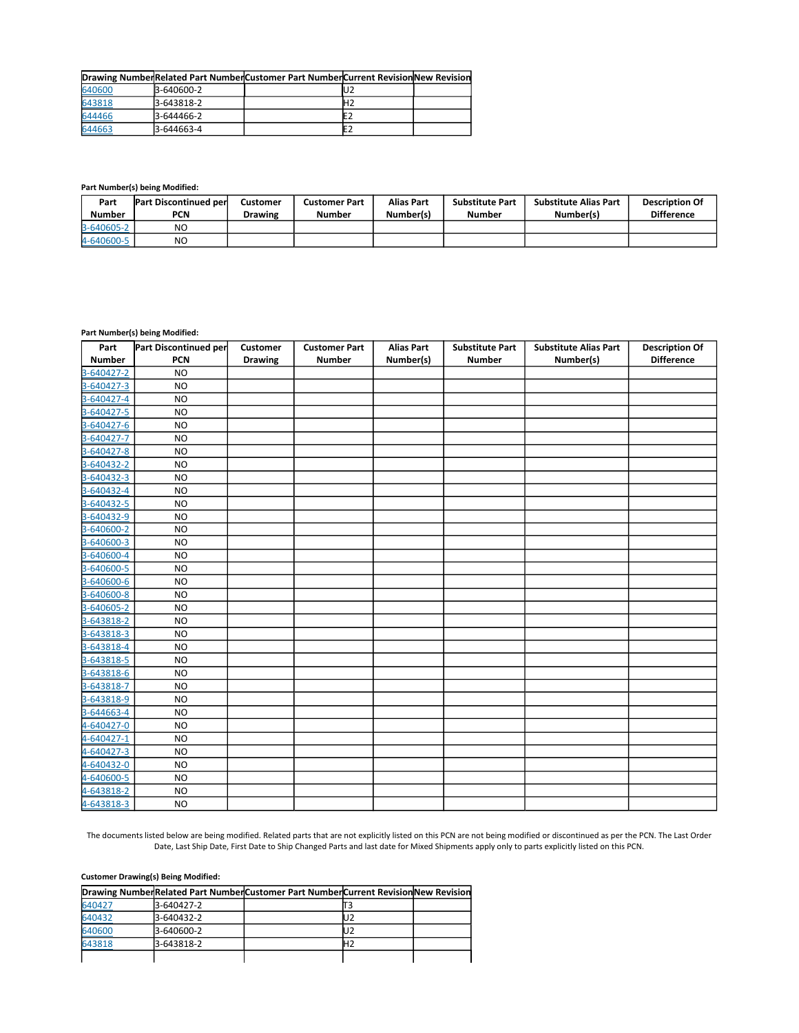|        |            | Drawing NumberRelated Part NumberCustomer Part NumberCurrent RevisionNew Revision |     |  |
|--------|------------|-----------------------------------------------------------------------------------|-----|--|
| 640600 | 3-640600-2 |                                                                                   | lU2 |  |
| 643818 | 3-643818-2 |                                                                                   |     |  |
| 644466 | 3-644466-2 |                                                                                   |     |  |
| 644663 | 3-644663-4 |                                                                                   |     |  |

**Part Number(s) being Modified:** 

| Part<br><b>Number</b> | <b>Part Discontinued per</b><br>PCN | <b>Customer</b><br><b>Drawing</b> | <b>Customer Part</b><br><b>Number</b> | Alias Part<br>Number(s) | <b>Substitute Part</b><br>Number | <b>Substitute Alias Part</b><br>Number(s) | <b>Description Of</b><br><b>Difference</b> |
|-----------------------|-------------------------------------|-----------------------------------|---------------------------------------|-------------------------|----------------------------------|-------------------------------------------|--------------------------------------------|
| 3-640605-2            | NO                                  |                                   |                                       |                         |                                  |                                           |                                            |
| 4-640600-5            | N <sub>O</sub>                      |                                   |                                       |                         |                                  |                                           |                                            |

## **Part Number(s) being Modified:**

| Part          | Part Discontinued per | <b>Customer</b> | <b>Customer Part</b> | <b>Alias Part</b> | <b>Substitute Part</b> | <b>Substitute Alias Part</b> | <b>Description Of</b> |
|---------------|-----------------------|-----------------|----------------------|-------------------|------------------------|------------------------------|-----------------------|
| <b>Number</b> | <b>PCN</b>            | <b>Drawing</b>  | <b>Number</b>        | Number(s)         | <b>Number</b>          | Number(s)                    | <b>Difference</b>     |
| 3-640427-2    | <b>NO</b>             |                 |                      |                   |                        |                              |                       |
| 3-640427-3    | <b>NO</b>             |                 |                      |                   |                        |                              |                       |
| 3-640427-4    | <b>NO</b>             |                 |                      |                   |                        |                              |                       |
| 3-640427-5    | <b>NO</b>             |                 |                      |                   |                        |                              |                       |
| 3-640427-6    | <b>NO</b>             |                 |                      |                   |                        |                              |                       |
| 3-640427-7    | <b>NO</b>             |                 |                      |                   |                        |                              |                       |
| 3-640427-8    | <b>NO</b>             |                 |                      |                   |                        |                              |                       |
| 3-640432-2    | <b>NO</b>             |                 |                      |                   |                        |                              |                       |
| 3-640432-3    | <b>NO</b>             |                 |                      |                   |                        |                              |                       |
| 3-640432-4    | <b>NO</b>             |                 |                      |                   |                        |                              |                       |
| 3-640432-5    | <b>NO</b>             |                 |                      |                   |                        |                              |                       |
| 3-640432-9    | <b>NO</b>             |                 |                      |                   |                        |                              |                       |
| 3-640600-2    | <b>NO</b>             |                 |                      |                   |                        |                              |                       |
| 3-640600-3    | <b>NO</b>             |                 |                      |                   |                        |                              |                       |
| 3-640600-4    | <b>NO</b>             |                 |                      |                   |                        |                              |                       |
| 3-640600-5    | <b>NO</b>             |                 |                      |                   |                        |                              |                       |
| 3-640600-6    | N <sub>O</sub>        |                 |                      |                   |                        |                              |                       |
| 3-640600-8    | <b>NO</b>             |                 |                      |                   |                        |                              |                       |
| 3-640605-2    | <b>NO</b>             |                 |                      |                   |                        |                              |                       |
| 3-643818-2    | <b>NO</b>             |                 |                      |                   |                        |                              |                       |
| 3-643818-3    | <b>NO</b>             |                 |                      |                   |                        |                              |                       |
| 3-643818-4    | <b>NO</b>             |                 |                      |                   |                        |                              |                       |
| 3-643818-5    | <b>NO</b>             |                 |                      |                   |                        |                              |                       |
| 3-643818-6    | <b>NO</b>             |                 |                      |                   |                        |                              |                       |
| 3-643818-7    | <b>NO</b>             |                 |                      |                   |                        |                              |                       |
| 3-643818-9    | <b>NO</b>             |                 |                      |                   |                        |                              |                       |
| 3-644663-4    | <b>NO</b>             |                 |                      |                   |                        |                              |                       |
| 4-640427-0    | <b>NO</b>             |                 |                      |                   |                        |                              |                       |
| 4-640427-1    | <b>NO</b>             |                 |                      |                   |                        |                              |                       |
| 4-640427-3    | <b>NO</b>             |                 |                      |                   |                        |                              |                       |
| 4-640432-0    | <b>NO</b>             |                 |                      |                   |                        |                              |                       |
| 4-640600-5    | <b>NO</b>             |                 |                      |                   |                        |                              |                       |
| 4-643818-2    | <b>NO</b>             |                 |                      |                   |                        |                              |                       |
| 4-643818-3    | <b>NO</b>             |                 |                      |                   |                        |                              |                       |

The documents listed below are being modified. Related parts that are not explicitly listed on this PCN are not being modified or discontinued as per the PCN. The Last Order Date, Last Ship Date, First Date to Ship Changed Parts and last date for Mixed Shipments apply only to parts explicitly listed on this PCN.

## **Customer Drawing(s) Being Modified:**

|        |            | Drawing NumberRelated Part NumberCustomer Part NumberCurrent Revision New Revision |  |
|--------|------------|------------------------------------------------------------------------------------|--|
| 640427 | 3-640427-2 |                                                                                    |  |
| 640432 | 3-640432-2 |                                                                                    |  |
| 640600 | 3-640600-2 |                                                                                    |  |
| 643818 | 3-643818-2 |                                                                                    |  |
|        |            |                                                                                    |  |